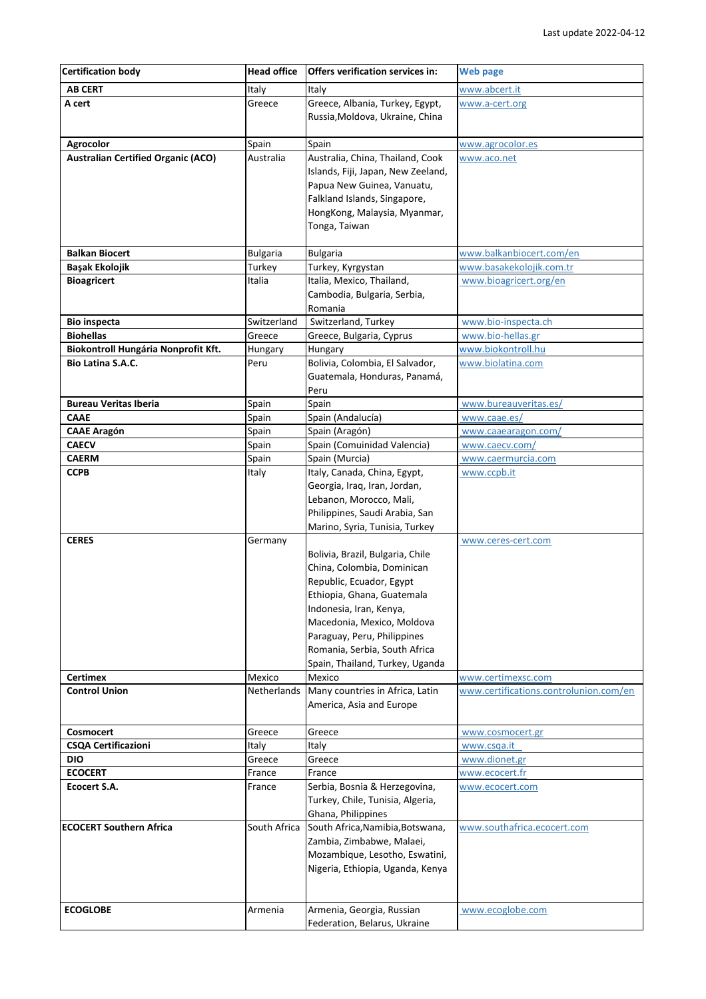| <b>Certification body</b>                 | <b>Head office</b> | Offers verification services in:                                                                                                                                                                                                                                                     | <b>Web page</b>                        |
|-------------------------------------------|--------------------|--------------------------------------------------------------------------------------------------------------------------------------------------------------------------------------------------------------------------------------------------------------------------------------|----------------------------------------|
| <b>AB CERT</b>                            | Italy              | Italy                                                                                                                                                                                                                                                                                | www.abcert.it                          |
| A cert                                    | Greece             | Greece, Albania, Turkey, Egypt,<br>Russia, Moldova, Ukraine, China                                                                                                                                                                                                                   | www.a-cert.org                         |
| <b>Agrocolor</b>                          | Spain              | Spain                                                                                                                                                                                                                                                                                | www.agrocolor.es                       |
| <b>Australian Certified Organic (ACO)</b> | Australia          | Australia, China, Thailand, Cook<br>Islands, Fiji, Japan, New Zeeland,<br>Papua New Guinea, Vanuatu,<br>Falkland Islands, Singapore,<br>HongKong, Malaysia, Myanmar,<br>Tonga, Taiwan                                                                                                | www.aco.net                            |
| <b>Balkan Biocert</b>                     | <b>Bulgaria</b>    | <b>Bulgaria</b>                                                                                                                                                                                                                                                                      | www.balkanbiocert.com/en               |
| Başak Ekolojik                            | Turkey             | Turkey, Kyrgystan                                                                                                                                                                                                                                                                    | www.basakekolojik.com.tr               |
| <b>Bioagricert</b>                        | Italia             | Italia, Mexico, Thailand,<br>Cambodia, Bulgaria, Serbia,<br>Romania                                                                                                                                                                                                                  | www.bioagricert.org/en                 |
| <b>Bio inspecta</b>                       | Switzerland        | Switzerland, Turkey                                                                                                                                                                                                                                                                  | www.bio-inspecta.ch                    |
| <b>Biohellas</b>                          | Greece             | Greece, Bulgaria, Cyprus                                                                                                                                                                                                                                                             | www.bio-hellas.gr                      |
| Biokontroll Hungária Nonprofit Kft.       | Hungary            | Hungary                                                                                                                                                                                                                                                                              | www.biokontroll.hu                     |
| Bio Latina S.A.C.                         | Peru               | Bolivia, Colombia, El Salvador,<br>Guatemala, Honduras, Panamá,<br>Peru                                                                                                                                                                                                              | www.biolatina.com                      |
| <b>Bureau Veritas Iberia</b>              | Spain              | Spain                                                                                                                                                                                                                                                                                | www.bureauveritas.es/                  |
| <b>CAAE</b>                               | Spain              | Spain (Andalucía)                                                                                                                                                                                                                                                                    | www.caae.es/                           |
| <b>CAAE Aragón</b>                        | Spain              | Spain (Aragón)                                                                                                                                                                                                                                                                       | www.caaearagon.com/                    |
| <b>CAECV</b>                              | Spain              | Spain (Comuinidad Valencia)                                                                                                                                                                                                                                                          | www.caecv.com/                         |
| <b>CAERM</b>                              | Spain              | Spain (Murcia)                                                                                                                                                                                                                                                                       | www.caermurcia.com                     |
| <b>CCPB</b>                               | Italy              | Italy, Canada, China, Egypt,<br>Georgia, Iraq, Iran, Jordan,<br>Lebanon, Morocco, Mali,<br>Philippines, Saudi Arabia, San<br>Marino, Syria, Tunisia, Turkey                                                                                                                          | www.ccpb.it                            |
| <b>CERES</b>                              | Germany            | Bolivia, Brazil, Bulgaria, Chile<br>China, Colombia, Dominican<br>Republic, Ecuador, Egypt<br>Ethiopia, Ghana, Guatemala<br>Indonesia, Iran, Kenya,<br>Macedonia, Mexico, Moldova<br>Paraguay, Peru, Philippines<br>Romania, Serbia, South Africa<br>Spain, Thailand, Turkey, Uganda | www.ceres-cert.com                     |
| <b>Certimex</b>                           | Mexico             | Mexico                                                                                                                                                                                                                                                                               | www.certimexsc.com                     |
| <b>Control Union</b>                      | Netherlands        | Many countries in Africa, Latin<br>America, Asia and Europe                                                                                                                                                                                                                          | www.certifications.controlunion.com/en |
| <b>Cosmocert</b>                          | Greece             | Greece                                                                                                                                                                                                                                                                               | www.cosmocert.gr                       |
| <b>CSQA Certificazioni</b>                | Italy              | Italy                                                                                                                                                                                                                                                                                | www.csga.it                            |
| <b>DIO</b>                                | Greece             | Greece                                                                                                                                                                                                                                                                               | www.dionet.gr                          |
| <b>ECOCERT</b>                            | France             | France                                                                                                                                                                                                                                                                               | www.ecocert.fr                         |
| <b>Ecocert S.A.</b>                       | France             | Serbia, Bosnia & Herzegovina,<br>Turkey, Chile, Tunisia, Algeria,<br>Ghana, Philippines                                                                                                                                                                                              | www.ecocert.com                        |
| <b>ECOCERT Southern Africa</b>            | South Africa       | South Africa, Namibia, Botswana,<br>Zambia, Zimbabwe, Malaei,<br>Mozambique, Lesotho, Eswatini,<br>Nigeria, Ethiopia, Uganda, Kenya                                                                                                                                                  | www.southafrica.ecocert.com            |
| <b>ECOGLOBE</b>                           | Armenia            | Armenia, Georgia, Russian<br>Federation, Belarus, Ukraine                                                                                                                                                                                                                            | www.ecoglobe.com                       |